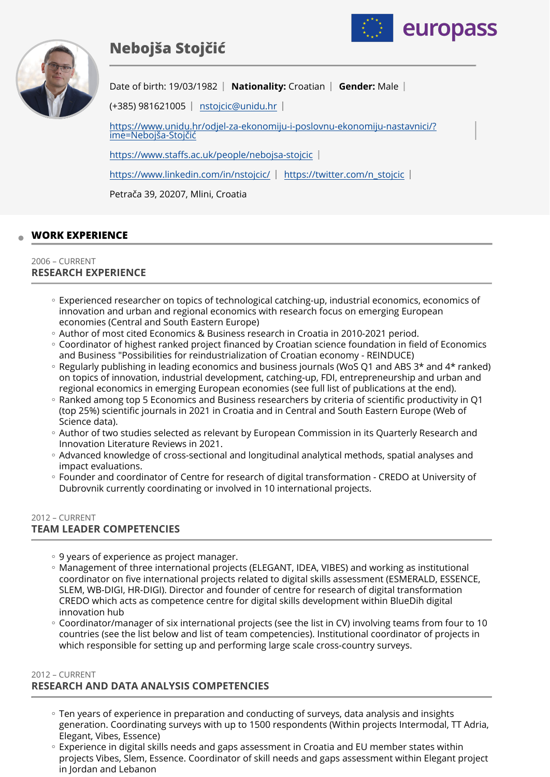# **Nebojša Stojčić**





Date of birth: 19/03/1982 | Nationality: Croatian | Gender: Male |

(+385) 981621005 | [nstojcic@unidu.hr](mailto:nstojcic@unidu.hr) |

[https://www.unidu.hr/odjel-za-ekonomiju-i-poslovnu-ekonomiju-nastavnici/?](https://www.unidu.hr/odjel-za-ekonomiju-i-poslovnu-ekonomiju-nastavnici/?ime=Neboj%C5%A1a-Stoj%C4%8Di%C4%87) [ime=Nebojša-Stoj](https://www.unidu.hr/odjel-za-ekonomiju-i-poslovnu-ekonomiju-nastavnici/?ime=Neboj%C5%A1a-Stoj%C4%8Di%C4%87)čić

https://www.staff[s.ac.uk/people/nebojsa-stojcic](https://www.staffs.ac.uk/people/nebojsa-stojcic) 

<https://www.linkedin.com/in/nstojcic/>| [https://twitter.com/n\\_stojcic](https://twitter.com/n_stojcic) |

Petrača 39, 20207, Mlini, Croatia

# **WORK EXPERIENCE**

#### 2006 – CURRENT **RESEARCH EXPERIENCE**

- Experienced researcher on topics of technological catching-up, industrial economics, economics of innovation and urban and regional economics with research focus on emerging European economies (Central and South Eastern Europe)
- Author of most cited Economics & Business research in Croatia in 2010-2021 period. ◦
- Coordinator of highest ranked project financed by Croatian science foundation in field of Economics and Business "Possibilities for reindustrialization of Croatian economy - REINDUCE)
- Regularly publishing in leading economics and business journals (WoS Q1 and ABS 3\* and 4\* ranked) on topics of innovation, industrial development, catching-up, FDI, entrepreneurship and urban and regional economics in emerging European economies (see full list of publications at the end).
- Ranked among top 5 Economics and Business researchers by criteria of scientific productivity in Q1 (top 25%) scientific journals in 2021 in Croatia and in Central and South Eastern Europe (Web of Science data).
- Author of two studies selected as relevant by European Commission in its Quarterly Research and Innovation Literature Reviews in 2021.
- Advanced knowledge of cross-sectional and longitudinal analytical methods, spatial analyses and impact evaluations.
- Founder and coordinator of Centre for research of digital transformation CREDO at University of Dubrovnik currently coordinating or involved in 10 international projects.

#### 2012 – CURRENT **TEAM LEADER COMPETENCIES**

- 9 years of experience as project manager.
- Management of three international projects (ELEGANT, IDEA, VIBES) and working as institutional coordinator on five international projects related to digital skills assessment (ESMERALD, ESSENCE, SLEM, WB-DIGI, HR-DIGI). Director and founder of centre for research of digital transformation CREDO which acts as competence centre for digital skills development within BlueDih digital innovation hub
- Coordinator/manager of six international projects (see the list in CV) involving teams from four to 10 countries (see the list below and list of team competencies). Institutional coordinator of projects in which responsible for setting up and performing large scale cross-country surveys.

#### 2012 – CURRENT

# **RESEARCH AND DATA ANALYSIS COMPETENCIES**

- Ten years of experience in preparation and conducting of surveys, data analysis and insights generation. Coordinating surveys with up to 1500 respondents (Within projects Intermodal, TT Adria, Elegant, Vibes, Essence)
- Experience in digital skills needs and gaps assessment in Croatia and EU member states within projects Vibes, Slem, Essence. Coordinator of skill needs and gaps assessment within Elegant project in Jordan and Lebanon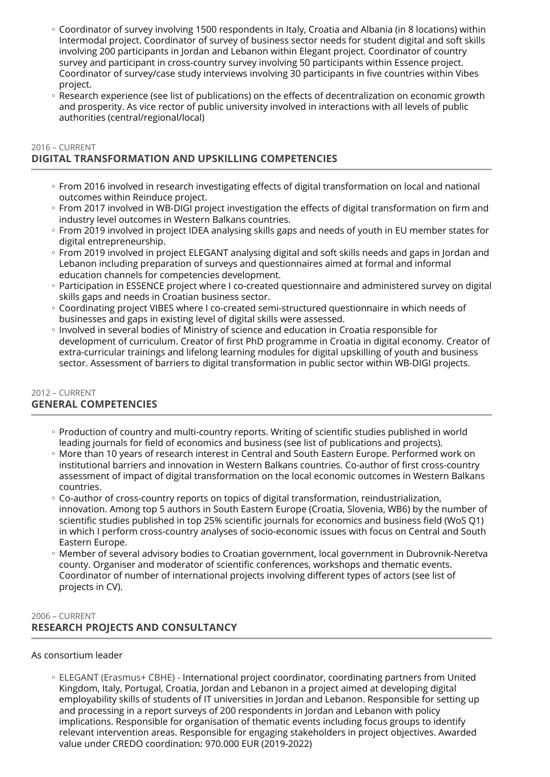- Coordinator of survey involving 1500 respondents in Italy, Croatia and Albania (in 8 locations) within Intermodal project. Coordinator of survey of business sector needs for student digital and soft skills involving 200 participants in Jordan and Lebanon within Elegant project. Coordinator of country survey and participant in cross-country survey involving 50 participants within Essence project. Coordinator of survey/case study interviews involving 30 participants in five countries within Vibes project.
- Research experience (see list of publications) on the effects of decentralization on economic growth and prosperity. As vice rector of public university involved in interactions with all levels of public authorities (central/regional/local)

#### 2016 – CURRENT

# **DIGITAL TRANSFORMATION AND UPSKILLING COMPETENCIES**

- From 2016 involved in research investigating effects of digital transformation on local and national outcomes within Reinduce project.
- From 2017 involved in WB-DIGI project investigation the effects of digital transformation on firm and industry level outcomes in Western Balkans countries.
- From 2019 involved in project IDEA analysing skills gaps and needs of youth in EU member states for digital entrepreneurship.
- From 2019 involved in project ELEGANT analysing digital and soft skills needs and gaps in Jordan and Lebanon including preparation of surveys and questionnaires aimed at formal and informal education channels for competencies development.
- Participation in ESSENCE project where I co-created questionnaire and administered survey on digital skills gaps and needs in Croatian business sector.
- Coordinating project VIBES where I co-created semi-structured questionnaire in which needs of businesses and gaps in existing level of digital skills were assessed.
- Involved in several bodies of Ministry of science and education in Croatia responsible for development of curriculum. Creator of first PhD programme in Croatia in digital economy. Creator of extra-curricular trainings and lifelong learning modules for digital upskilling of youth and business sector. Assessment of barriers to digital transformation in public sector within WB-DIGI projects.

#### 2012 – CURRENT **GENERAL COMPETENCIES**

- Production of country and multi-country reports. Writing of scientific studies published in world leading journals for field of economics and business (see list of publications and projects).
- More than 10 years of research interest in Central and South Eastern Europe. Performed work on institutional barriers and innovation in Western Balkans countries. Co-author of first cross-country assessment of impact of digital transformation on the local economic outcomes in Western Balkans countries.
- Co-author of cross-country reports on topics of digital transformation, reindustrialization, innovation. Among top 5 authors in South Eastern Europe (Croatia, Slovenia, WB6) by the number of scientific studies published in top 25% scientific journals for economics and business field (WoS Q1) in which I perform cross-country analyses of socio-economic issues with focus on Central and South Eastern Europe.
- Member of several advisory bodies to Croatian government, local government in Dubrovnik-Neretva county. Organiser and moderator of scientific conferences, workshops and thematic events. Coordinator of number of international projects involving different types of actors (see list of projects in CV).

# 2006 – CURRENT **RESEARCH PROJECTS AND CONSULTANCY**

## As consortium leader

◦ ELEGANT (Erasmus+ CBHE) - International project coordinator, coordinating partners from United Kingdom, Italy, Portugal, Croatia, Jordan and Lebanon in a project aimed at developing digital employability skills of students of IT universities in Jordan and Lebanon. Responsible for setting up and processing in a report surveys of 200 respondents in Jordan and Lebanon with policy implications. Responsible for organisation of thematic events including focus groups to identify relevant intervention areas. Responsible for engaging stakeholders in project objectives. Awarded value under CREDO coordination: 970.000 EUR (2019-2022)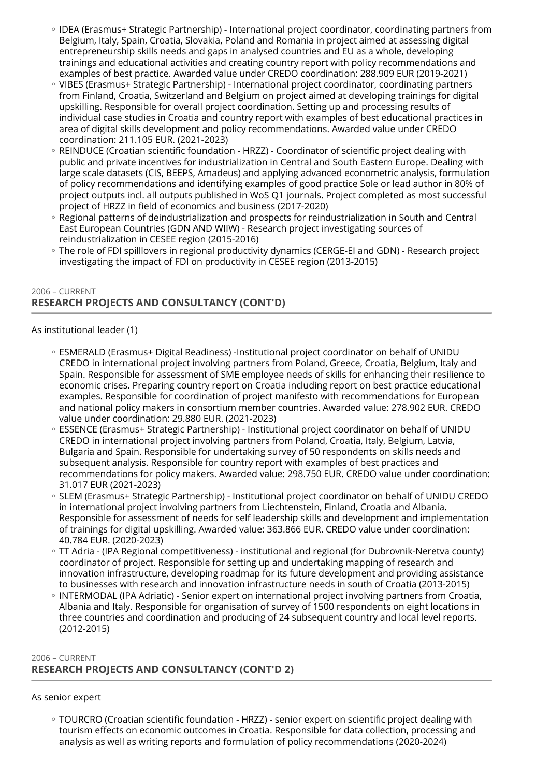- IDEA (Erasmus+ Strategic Partnership) International project coordinator, coordinating partners from Belgium, Italy, Spain, Croatia, Slovakia, Poland and Romania in project aimed at assessing digital entrepreneurship skills needs and gaps in analysed countries and EU as a whole, developing trainings and educational activities and creating country report with policy recommendations and examples of best practice. Awarded value under CREDO coordination: 288.909 EUR (2019-2021)
- VIBES (Erasmus+ Strategic Partnership) International project coordinator, coordinating partners from Finland, Croatia, Switzerland and Belgium on project aimed at developing trainings for digital upskilling. Responsible for overall project coordination. Setting up and processing results of individual case studies in Croatia and country report with examples of best educational practices in area of digital skills development and policy recommendations. Awarded value under CREDO coordination: 211.105 EUR. (2021-2023)
- REINDUCE (Croatian scientific foundation HRZZ) Coordinator of scientific project dealing with public and private incentives for industrialization in Central and South Eastern Europe. Dealing with large scale datasets (CIS, BEEPS, Amadeus) and applying advanced econometric analysis, formulation of policy recommendations and identifying examples of good practice Sole or lead author in 80% of project outputs incl. all outputs published in WoS Q1 journals. Project completed as most successful project of HRZZ in field of economics and business (2017-2020)
- Regional patterns of deindustrialization and prospects for reindustrialization in South and Central East European Countries (GDN AND WIIW) - Research project investigating sources of reindustrialization in CESEE region (2015-2016)
- The role of FDI spilllovers in regional productivity dynamics (CERGE-EI and GDN) Research project investigating the impact of FDI on productivity in CESEE region (2013-2015)

## 2006 – CURRENT **RESEARCH PROJECTS AND CONSULTANCY (CONT'D)**

As institutional leader (1)

- ESMERALD (Erasmus+ Digital Readiness) -Institutional project coordinator on behalf of UNIDU CREDO in international project involving partners from Poland, Greece, Croatia, Belgium, Italy and Spain. Responsible for assessment of SME employee needs of skills for enhancing their resilience to economic crises. Preparing country report on Croatia including report on best practice educational examples. Responsible for coordination of project manifesto with recommendations for European and national policy makers in consortium member countries. Awarded value: 278.902 EUR. CREDO value under coordination: 29.880 EUR. (2021-2023)
- ESSENCE (Erasmus+ Strategic Partnership) Institutional project coordinator on behalf of UNIDU CREDO in international project involving partners from Poland, Croatia, Italy, Belgium, Latvia, Bulgaria and Spain. Responsible for undertaking survey of 50 respondents on skills needs and subsequent analysis. Responsible for country report with examples of best practices and recommendations for policy makers. Awarded value: 298.750 EUR. CREDO value under coordination: 31.017 EUR (2021-2023)
- SLEM (Erasmus+ Strategic Partnership) Institutional project coordinator on behalf of UNIDU CREDO in international project involving partners from Liechtenstein, Finland, Croatia and Albania. Responsible for assessment of needs for self leadership skills and development and implementation of trainings for digital upskilling. Awarded value: 363.866 EUR. CREDO value under coordination: 40.784 EUR. (2020-2023)
- TT Adria (IPA Regional competitiveness) institutional and regional (for Dubrovnik-Neretva county) coordinator of project. Responsible for setting up and undertaking mapping of research and innovation infrastructure, developing roadmap for its future development and providing assistance to businesses with research and innovation infrastructure needs in south of Croatia (2013-2015)
- INTERMODAL (IPA Adriatic) Senior expert on international project involving partners from Croatia, Albania and Italy. Responsible for organisation of survey of 1500 respondents on eight locations in three countries and coordination and producing of 24 subsequent country and local level reports. (2012-2015)

# 2006 – CURRENT **RESEARCH PROJECTS AND CONSULTANCY (CONT'D 2)**

## As senior expert

◦ TOURCRO (Croatian scientific foundation - HRZZ) - senior expert on scientific project dealing with tourism effects on economic outcomes in Croatia. Responsible for data collection, processing and analysis as well as writing reports and formulation of policy recommendations (2020-2024)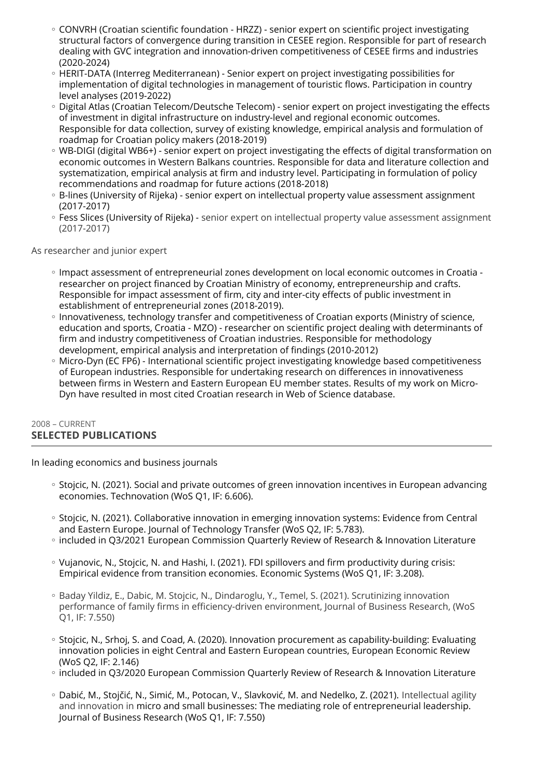- CONVRH (Croatian scientific foundation HRZZ) senior expert on scientific project investigating structural factors of convergence during transition in CESEE region. Responsible for part of research dealing with GVC integration and innovation-driven competitiveness of CESEE firms and industries (2020-2024)
- HERIT-DATA (Interreg Mediterranean) Senior expert on project investigating possibilities for implementation of digital technologies in management of touristic flows. Participation in country level analyses (2019-2022)
- Digital Atlas (Croatian Telecom/Deutsche Telecom) senior expert on project investigating the effects of investment in digital infrastructure on industry-level and regional economic outcomes. Responsible for data collection, survey of existing knowledge, empirical analysis and formulation of roadmap for Croatian policy makers (2018-2019)
- WB-DIGI (digital WB6+) senior expert on project investigating the effects of digital transformation on economic outcomes in Western Balkans countries. Responsible for data and literature collection and systematization, empirical analysis at firm and industry level. Participating in formulation of policy recommendations and roadmap for future actions (2018-2018)
- B-lines (University of Rijeka) senior expert on intellectual property value assessment assignment (2017-2017)
- Fess Slices (University of Rijeka) senior expert on intellectual property value assessment assignment (2017-2017)

As researcher and junior expert

- Impact assessment of entrepreneurial zones development on local economic outcomes in Croatia researcher on project financed by Croatian Ministry of economy, entrepreneurship and crafts. Responsible for impact assessment of firm, city and inter-city effects of public investment in establishment of entrepreneurial zones (2018-2019).
- Innovativeness, technology transfer and competitiveness of Croatian exports (Ministry of science, education and sports, Croatia - MZO) - researcher on scientific project dealing with determinants of firm and industry competitiveness of Croatian industries. Responsible for methodology development, empirical analysis and interpretation of findings (2010-2012)
- Micro-Dyn (EC FP6) International scientific project investigating knowledge based competitiveness of European industries. Responsible for undertaking research on differences in innovativeness between firms in Western and Eastern European EU member states. Results of my work on Micro-Dyn have resulted in most cited Croatian research in Web of Science database.

# 2008 – CURRENT **SELECTED PUBLICATIONS**

In leading economics and business journals

- Stojcic, N. (2021). Social and private outcomes of green innovation incentives in European advancing economies. Technovation (WoS Q1, IF: 6.606).
- Stojcic, N. (2021). Collaborative innovation in emerging innovation systems: Evidence from Central and Eastern Europe. Journal of Technology Transfer (WoS Q2, IF: 5.783).
- included in Q3/2021 European Commission Quarterly Review of Research & Innovation Literature
- Vujanovic, N., Stojcic, N. and Hashi, I. (2021). FDI spillovers and firm productivity during crisis: Empirical evidence from transition economies. Economic Systems (WoS Q1, IF: 3.208).
- Baday Yildiz, E., Dabic, M. Stojcic, N., Dindaroglu, Y., Temel, S. (2021). Scrutinizing innovation performance of family firms in efficiency-driven environment, Journal of Business Research, (WoS Q1, IF: 7.550)
- Stojcic, N., Srhoj, S. and Coad, A. (2020). Innovation procurement as capability-building: Evaluating innovation policies in eight Central and Eastern European countries, European Economic Review (WoS Q2, IF: 2.146)
- included in Q3/2020 European Commission Quarterly Review of Research & Innovation Literature
- Dabić, M., Stojčić, N., Simić, M., Potocan, V., Slavković, M. and Nedelko, Z. (2021). Intellectual agility and innovation in micro and small businesses: The mediating role of entrepreneurial leadership. Journal of Business Research (WoS Q1, IF: 7.550)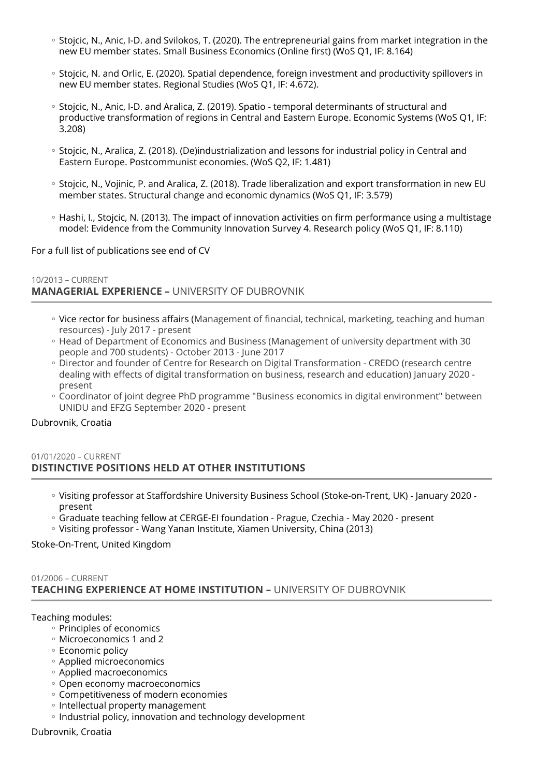- Stojcic, N., Anic, I-D. and Svilokos, T. (2020). The entrepreneurial gains from market integration in the new EU member states. Small Business Economics (Online first) (WoS Q1, IF: 8.164)
- Stojcic, N. and Orlic, E. (2020). Spatial dependence, foreign investment and productivity spillovers in new EU member states. Regional Studies (WoS Q1, IF: 4.672).
- Stojcic, N., Anic, I-D. and Aralica, Z. (2019). Spatio temporal determinants of structural and productive transformation of regions in Central and Eastern Europe. Economic Systems (WoS Q1, IF: 3.208)
- Stojcic, N., Aralica, Z. (2018). (De)industrialization and lessons for industrial policy in Central and Eastern Europe. Postcommunist economies. (WoS Q2, IF: 1.481)
- Stojcic, N., Vojinic, P. and Aralica, Z. (2018). Trade liberalization and export transformation in new EU member states. Structural change and economic dynamics (WoS Q1, IF: 3.579)
- Hashi, I., Stojcic, N. (2013). The impact of innovation activities on firm performance using a multistage model: Evidence from the Community Innovation Survey 4. Research policy (WoS Q1, IF: 8.110)

For a full list of publications see end of CV

## 10/2013 – CURRENT **MANAGERIAL EXPERIENCE –** UNIVERSITY OF DUBROVNIK

- Vice rector for business affairs (Management of financial, technical, marketing, teaching and human resources) - July 2017 - present
- Head of Department of Economics and Business (Management of university department with 30 people and 700 students) - October 2013 - June 2017
- Director and founder of Centre for Research on Digital Transformation CREDO (research centre dealing with effects of digital transformation on business, research and education) January 2020 present
- Coordinator of joint degree PhD programme "Business economics in digital environment" between UNIDU and EFZG September 2020 - present

Dubrovnik, Croatia

#### 01/01/2020 – CURRENT **DISTINCTIVE POSITIONS HELD AT OTHER INSTITUTIONS**

- Visiting professor at Staffordshire University Business School (Stoke-on-Trent, UK) January 2020 ◦ present
- Graduate teaching fellow at CERGE-EI foundation Prague, Czechia May 2020 present
- Visiting professor Wang Yanan Institute, Xiamen University, China (2013) ◦

Stoke-On-Trent, United Kingdom

## 01/2006 – CURRENT **TEACHING EXPERIENCE AT HOME INSTITUTION –** UNIVERSITY OF DUBROVNIK

Teaching modules:

- Principles of economics
- Microeconomics 1 and 2
- Economic policy ◦
- Applied microeconomics ◦
- Applied macroeconomics ◦
- Open economy macroeconomics ◦
- Competitiveness of modern economies ◦
- Intellectual property management
- Industrial policy, innovation and technology development

Dubrovnik, Croatia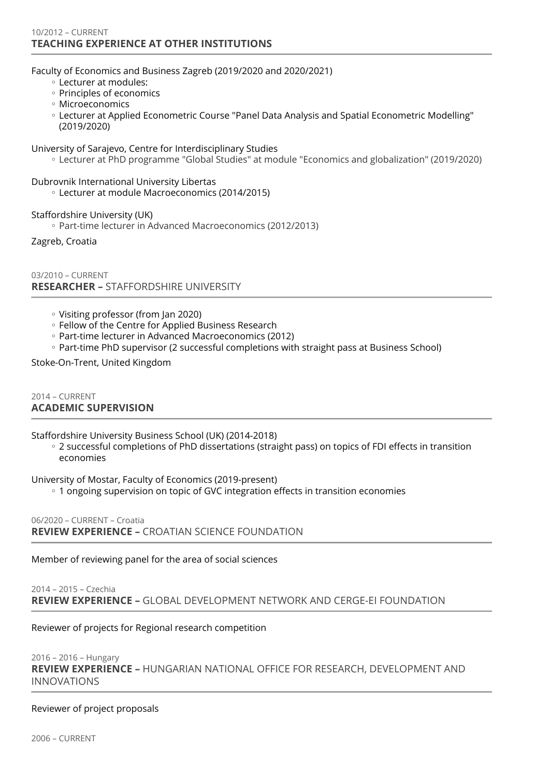#### 10/2012 – CURRENT **TEACHING EXPERIENCE AT OTHER INSTITUTIONS**

#### Faculty of Economics and Business Zagreb (2019/2020 and 2020/2021)

- Lecturer at modules: ◦
- Principles of economics
- Microeconomics ◦
- Lecturer at Applied Econometric Course "Panel Data Analysis and Spatial Econometric Modelling" (2019/2020)
- University of Sarajevo, Centre for Interdisciplinary Studies
	- Lecturer at PhD programme "Global Studies" at module "Economics and globalization" (2019/2020) ◦

#### Dubrovnik International University Libertas

Lecturer at module Macroeconomics (2014/2015) ◦

Staffordshire University (UK)

Part-time lecturer in Advanced Macroeconomics (2012/2013) ◦

Zagreb, Croatia

03/2010 – CURRENT **RESEARCHER –** STAFFORDSHIRE UNIVERSITY

- Visiting professor (from Jan 2020) ◦
- Fellow of the Centre for Applied Business Research ◦
- Part-time lecturer in Advanced Macroeconomics (2012) ◦
- Part-time PhD supervisor (2 successful completions with straight pass at Business School)

#### Stoke-On-Trent, United Kingdom

2014 – CURRENT **ACADEMIC SUPERVISION** 

Staffordshire University Business School (UK) (2014-2018)

◦ 2 successful completions of PhD dissertations (straight pass) on topics of FDI effects in transition economies

University of Mostar, Faculty of Economics (2019-present)

1 ongoing supervision on topic of GVC integration effects in transition economies ◦

06/2020 – CURRENT – Croatia **REVIEW EXPERIENCE –** CROATIAN SCIENCE FOUNDATION

Member of reviewing panel for the area of social sciences

## 2014 – 2015 – Czechia **REVIEW EXPERIENCE –** GLOBAL DEVELOPMENT NETWORK AND CERGE-EI FOUNDATION

Reviewer of projects for Regional research competition

#### 2016 – 2016 – Hungary **REVIEW EXPERIENCE –** HUNGARIAN NATIONAL OFFICE FOR RESEARCH, DEVELOPMENT AND INNOVATIONS

#### Reviewer of project proposals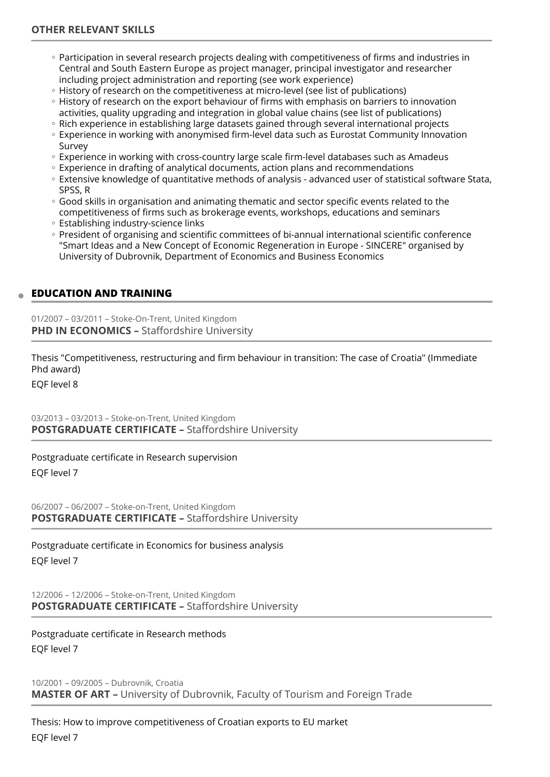- Participation in several research projects dealing with competitiveness of firms and industries in Central and South Eastern Europe as project manager, principal investigator and researcher including project administration and reporting (see work experience)
- History of research on the competitiveness at micro-level (see list of publications)
- History of research on the export behaviour of firms with emphasis on barriers to innovation activities, quality upgrading and integration in global value chains (see list of publications)
- Rich experience in establishing large datasets gained through several international projects
- Experience in working with anonymised firm-level data such as Eurostat Community Innovation Survey
- Experience in working with cross-country large scale firm-level databases such as Amadeus
- Experience in drafting of analytical documents, action plans and recommendations
- Extensive knowledge of quantitative methods of analysis advanced user of statistical software Stata, SPSS, R
- Good skills in organisation and animating thematic and sector specific events related to the competitiveness of firms such as brokerage events, workshops, educations and seminars
- Establishing industry-science links
- President of organising and scientific committees of bi-annual international scientific conference "Smart Ideas and a New Concept of Economic Regeneration in Europe - SINCERE" organised by University of Dubrovnik, Department of Economics and Business Economics

## **EDUCATION AND TRAINING**

01/2007 – 03/2011 – Stoke-On-Trent, United Kingdom **PHD IN ECONOMICS - Staffordshire University** 

Thesis "Competitiveness, restructuring and firm behaviour in transition: The case of Croatia" (Immediate Phd award)

EQF level 8

03/2013 – 03/2013 – Stoke-on-Trent, United Kingdom **POSTGRADUATE CERTIFICATE –** Staffordshire University

Postgraduate certificate in Research supervision

EQF level 7

06/2007 – 06/2007 – Stoke-on-Trent, United Kingdom **POSTGRADUATE CERTIFICATE –** Staffordshire University

Postgraduate certificate in Economics for business analysis EQF level 7

12/2006 – 12/2006 – Stoke-on-Trent, United Kingdom **POSTGRADUATE CERTIFICATE –** Staffordshire University

Postgraduate certificate in Research methods EQF level 7

10/2001 – 09/2005 – Dubrovnik, Croatia **MASTER OF ART –** University of Dubrovnik, Faculty of Tourism and Foreign Trade

Thesis: How to improve competitiveness of Croatian exports to EU market EQF level 7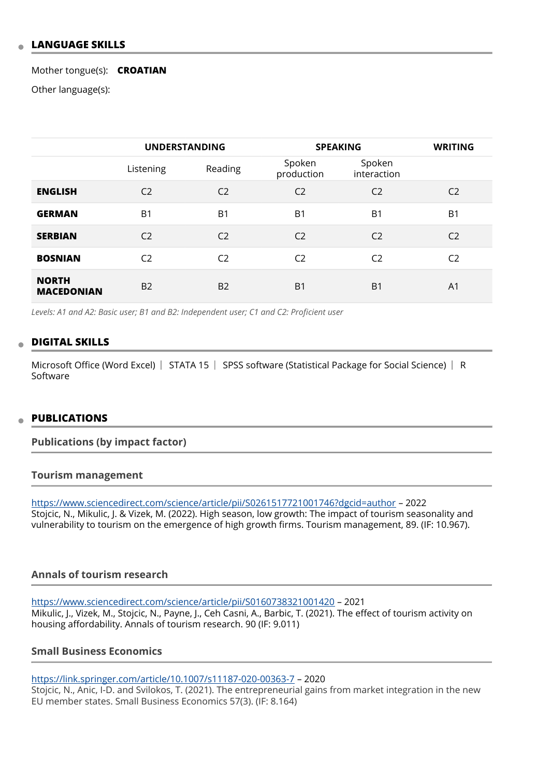## **LANGUAGE SKILLS**

Mother tongue(s): **CROATIAN**

Other language(s):

|                                   | <b>UNDERSTANDING</b> |                | <b>SPEAKING</b>      |                       | <b>WRITING</b> |
|-----------------------------------|----------------------|----------------|----------------------|-----------------------|----------------|
|                                   | Listening            | Reading        | Spoken<br>production | Spoken<br>interaction |                |
| <b>ENGLISH</b>                    | C <sub>2</sub>       | C <sub>2</sub> | C <sub>2</sub>       | C <sub>2</sub>        | C <sub>2</sub> |
| <b>GERMAN</b>                     | B <sub>1</sub>       | B <sub>1</sub> | B <sub>1</sub>       | B <sub>1</sub>        | B1             |
| <b>SERBIAN</b>                    | C <sub>2</sub>       | C <sub>2</sub> | C <sub>2</sub>       | C <sub>2</sub>        | C <sub>2</sub> |
| <b>BOSNIAN</b>                    | C <sub>2</sub>       | C <sub>2</sub> | C <sub>2</sub>       | C <sub>2</sub>        | C <sub>2</sub> |
| <b>NORTH</b><br><b>MACEDONIAN</b> | <b>B2</b>            | <b>B2</b>      | B <sub>1</sub>       | B <sub>1</sub>        | A <sub>1</sub> |

*Levels: A1 and A2: Basic user; B1 and B2: Independent user; C1 and C2: Proficient user*

#### **DIGITAL SKILLS**

Microsoft Office (Word Excel) | STATA 15 | SPSS software (Statistical Package for Social Science) | R Software

#### **PUBLICATIONS**

#### **Publications (by impact factor)**

#### **Tourism management**

<https://www.sciencedirect.com/science/article/pii/S0261517721001746?dgcid=author>– 2022 Stojcic, N., Mikulic, J. & Vizek, M. (2022). High season, low growth: The impact of tourism seasonality and vulnerability to tourism on the emergence of high growth firms. Tourism management, 89. (IF: 10.967).

## **Annals of tourism research**

<https://www.sciencedirect.com/science/article/pii/S0160738321001420> – 2021 Mikulic, J., Vizek, M., Stojcic, N., Payne, J., Ceh Casni, A., Barbic, T. (2021). The effect of tourism activity on housing affordability. Annals of tourism research. 90 (IF: 9.011)

#### **Small Business Economics**

<https://link.springer.com/article/10.1007/s11187-020-00363-7> – 2020 Stojcic, N., Anic, I-D. and Svilokos, T. (2021). The entrepreneurial gains from market integration in the new EU member states. Small Business Economics 57(3). (IF: 8.164)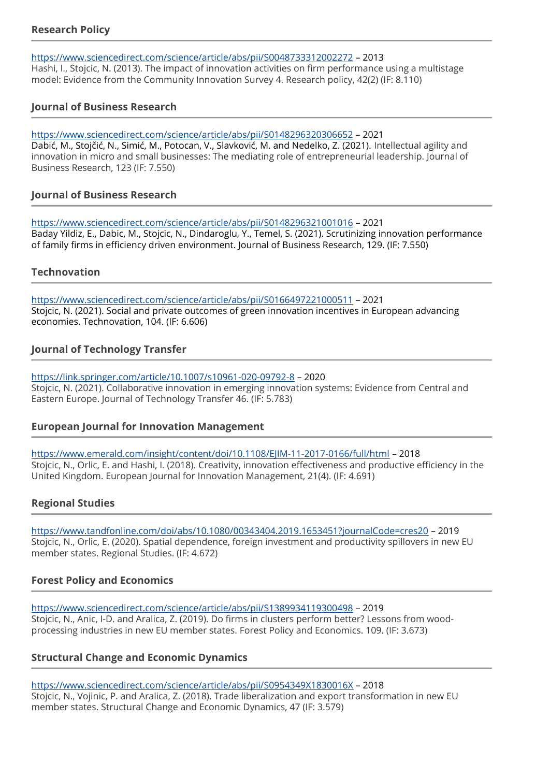# **Research Policy**

#### <https://www.sciencedirect.com/science/article/abs/pii/S0048733312002272>– 2013

Hashi, I., Stojcic, N. (2013). The impact of innovation activities on firm performance using a multistage model: Evidence from the Community Innovation Survey 4. Research policy, 42(2) (IF: 8.110)

## **Journal of Business Research**

<https://www.sciencedirect.com/science/article/abs/pii/S0148296320306652>– 2021 Dabić, M., Stojčić, N., Simić, M., Potocan, V., Slavković, M. and Nedelko, Z. (2021). Intellectual agility and innovation in micro and small businesses: The mediating role of entrepreneurial leadership. Journal of Business Research, 123 (IF: 7.550)

# **Journal of Business Research**

<https://www.sciencedirect.com/science/article/abs/pii/S0148296321001016>– 2021 Baday Yildiz, E., Dabic, M., Stojcic, N., Dindaroglu, Y., Temel, S. (2021). Scrutinizing innovation performance of family firms in efficiency driven environment. Journal of Business Research, 129. (IF: 7.550)

## **Technovation**

<https://www.sciencedirect.com/science/article/abs/pii/S0166497221000511>– 2021 Stojcic, N. (2021). Social and private outcomes of green innovation incentives in European advancing economies. Technovation, 104. (IF: 6.606)

# **Journal of Technology Transfer**

#### <https://link.springer.com/article/10.1007/s10961-020-09792-8> – 2020

Stojcic, N. (2021). Collaborative innovation in emerging innovation systems: Evidence from Central and Eastern Europe. Journal of Technology Transfer 46. (IF: 5.783)

## **European Journal for Innovation Management**

<https://www.emerald.com/insight/content/doi/10.1108/EJIM-11-2017-0166/full/html>– 2018 Stojcic, N., Orlic, E. and Hashi, I. (2018). Creativity, innovation effectiveness and productive efficiency in the United Kingdom. European Journal for Innovation Management, 21(4). (IF: 4.691)

# **Regional Studies**

<https://www.tandfonline.com/doi/abs/10.1080/00343404.2019.1653451?journalCode=cres20> – 2019 Stojcic, N., Orlic, E. (2020). Spatial dependence, foreign investment and productivity spillovers in new EU member states. Regional Studies. (IF: 4.672)

# **Forest Policy and Economics**

<https://www.sciencedirect.com/science/article/abs/pii/S1389934119300498>– 2019 Stojcic, N., Anic, I-D. and Aralica, Z. (2019). Do firms in clusters perform better? Lessons from woodprocessing industries in new EU member states. Forest Policy and Economics. 109. (IF: 3.673)

# **Structural Change and Economic Dynamics**

<https://www.sciencedirect.com/science/article/abs/pii/S0954349X1830016X>– 2018 Stojcic, N., Vojinic, P. and Aralica, Z. (2018). Trade liberalization and export transformation in new EU member states. Structural Change and Economic Dynamics, 47 (IF: 3.579)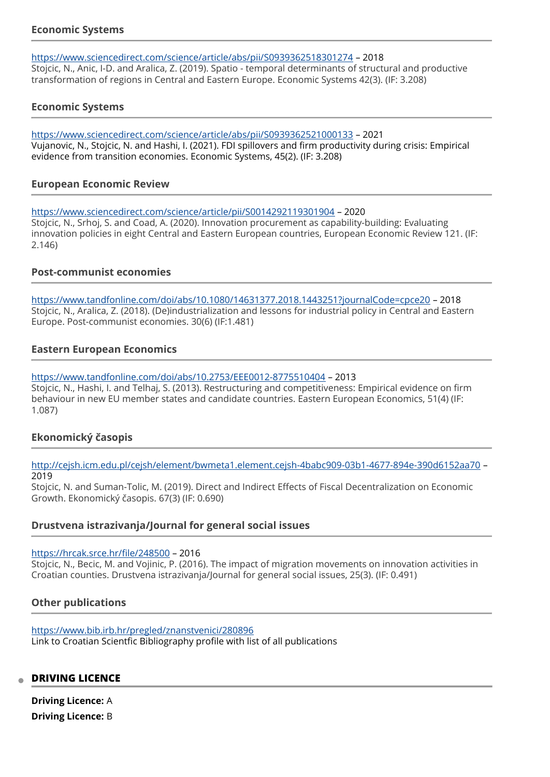## **Economic Systems**

#### <https://www.sciencedirect.com/science/article/abs/pii/S0939362518301274>– 2018

Stojcic, N., Anic, I-D. and Aralica, Z. (2019). Spatio - temporal determinants of structural and productive transformation of regions in Central and Eastern Europe. Economic Systems 42(3). (IF: 3.208)

## **Economic Systems**

<https://www.sciencedirect.com/science/article/abs/pii/S0939362521000133>– 2021 Vujanovic, N., Stojcic, N. and Hashi, I. (2021). FDI spillovers and firm productivity during crisis: Empirical evidence from transition economies. Economic Systems, 45(2). (IF: 3.208)

## **European Economic Review**

<https://www.sciencedirect.com/science/article/pii/S0014292119301904> – 2020

Stojcic, N., Srhoj, S. and Coad, A. (2020). Innovation procurement as capability-building: Evaluating innovation policies in eight Central and Eastern European countries, European Economic Review 121. (IF: 2.146)

#### **Post-communist economies**

<https://www.tandfonline.com/doi/abs/10.1080/14631377.2018.1443251?journalCode=cpce20> – 2018 Stojcic, N., Aralica, Z. (2018). (De)industrialization and lessons for industrial policy in Central and Eastern Europe. Post-communist economies. 30(6) (IF:1.481)

## **Eastern European Economics**

#### <https://www.tandfonline.com/doi/abs/10.2753/EEE0012-8775510404>– 2013

Stojcic, N., Hashi, I. and Telhaj, S. (2013). Restructuring and competitiveness: Empirical evidence on firm behaviour in new EU member states and candidate countries. Eastern European Economics, 51(4) (IF: 1.087)

## **Ekonomický časopis**

<http://cejsh.icm.edu.pl/cejsh/element/bwmeta1.element.cejsh-4babc909-03b1-4677-894e-390d6152aa70> – 2019

Stojcic, N. and Suman-Tolic, M. (2019). Direct and Indirect Effects of Fiscal Decentralization on Economic Growth. Ekonomický časopis. 67(3) (IF: 0.690)

## **Drustvena istrazivanja/Journal for general social issues**

#### [https://hrcak.srce.hr/](https://hrcak.srce.hr/file/248500)file/248500 – 2016

Stojcic, N., Becic, M. and Vojinic, P. (2016). The impact of migration movements on innovation activities in Croatian counties. Drustvena istrazivanja/Journal for general social issues, 25(3). (IF: 0.491)

## **Other publications**

<https://www.bib.irb.hr/pregled/znanstvenici/280896> Link to Croatian Scientfic Bibliography profile with list of all publications

#### **DRIVING LICENCE**

**Driving Licence:** A **Driving Licence:** B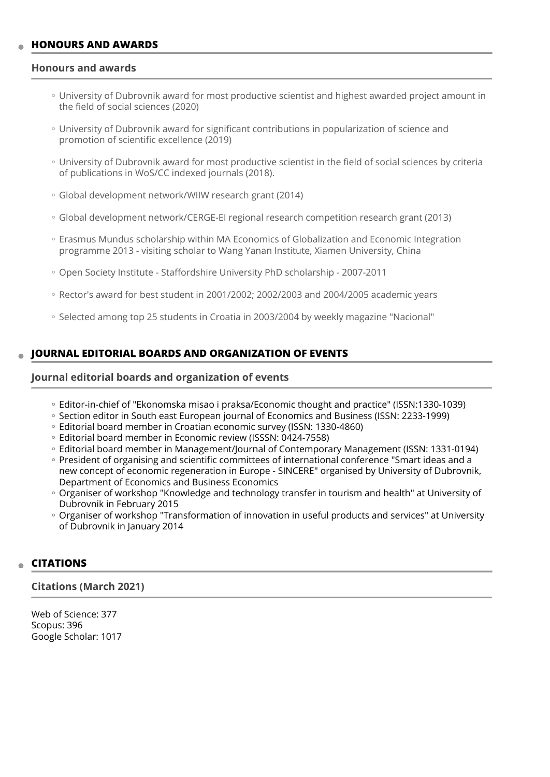## **HONOURS AND AWARDS**

#### **Honours and awards**

- University of Dubrovnik award for most productive scientist and highest awarded project amount in the field of social sciences (2020)
- University of Dubrovnik award for significant contributions in popularization of science and promotion of scientific excellence (2019)
- University of Dubrovnik award for most productive scientist in the field of social sciences by criteria of publications in WoS/CC indexed journals (2018).
- Global development network/WIIW research grant (2014) ◦
- Global development network/CERGE-EI regional research competition research grant (2013)
- Erasmus Mundus scholarship within MA Economics of Globalization and Economic Integration programme 2013 - visiting scholar to Wang Yanan Institute, Xiamen University, China
- Open Society Institute Staffordshire University PhD scholarship 2007-2011 ◦
- Rector's award for best student in 2001/2002; 2002/2003 and 2004/2005 academic years
- Selected among top 25 students in Croatia in 2003/2004 by weekly magazine "Nacional"

#### **JOURNAL EDITORIAL BOARDS AND ORGANIZATION OF EVENTS**

#### **Journal editorial boards and organization of events**

- Editor-in-chief of "Ekonomska misao i praksa/Economic thought and practice" (ISSN:1330-1039)
- Section editor in South east European journal of Economics and Business (ISSN: 2233-1999)
- Editorial board member in Croatian economic survey (ISSN: 1330-4860) ◦
- Editorial board member in Economic review (ISSSN: 0424-7558) ◦
- Editorial board member in Management/Journal of Contemporary Management (ISSN: 1331-0194) ◦
- President of organising and scientific committees of international conference "Smart ideas and a new concept of economic regeneration in Europe - SINCERE" organised by University of Dubrovnik, Department of Economics and Business Economics
- Organiser of workshop "Knowledge and technology transfer in tourism and health" at University of Dubrovnik in February 2015
- Organiser of workshop "Transformation of innovation in useful products and services" at University of Dubrovnik in January 2014

## **CITATIONS**

#### **Citations (March 2021)**

Web of Science: 377 Scopus: 396 Google Scholar: 1017